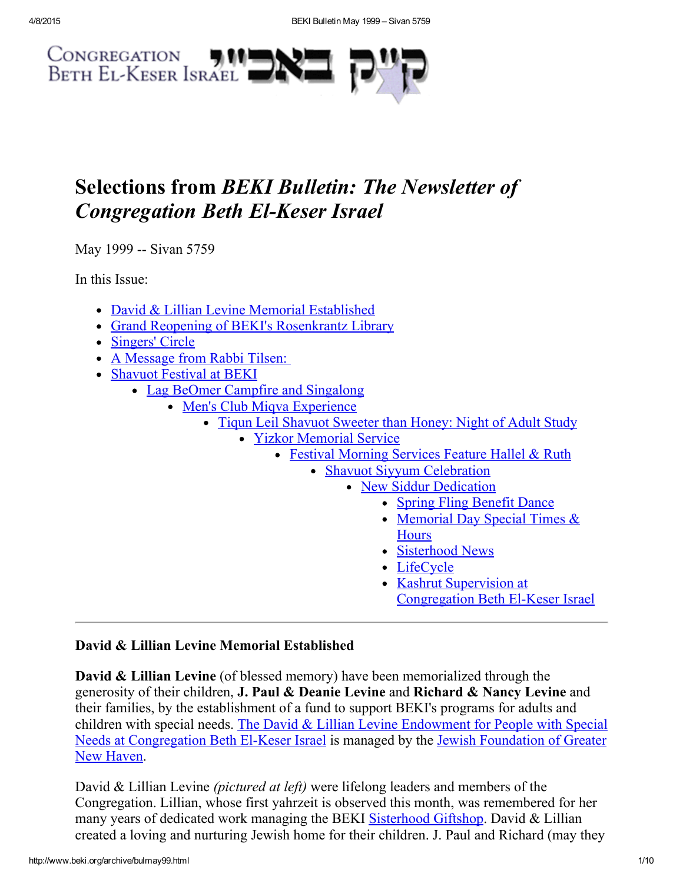

# Selections from BEKI Bulletin: The Newsletter of **Congregation Beth El-Keser Israel**

May 1999 -- Sivan 5759

In this Issue:

- David & Lillian Levine Memorial [Established](#page-0-0)
- Grand Reopening of BEKI's [Rosenkrantz](#page-1-0) Library
- [Singers'](#page-3-0) Circle
- A [Message](#page-4-0) from Rabbi Tilsen:
- [Shavuot](#page-5-1) Festival at BEKI
	- Lag BeOmer Campfire and [Singalong](#page-5-0)
		- Men's Club Migya [Experience](#page-5-2)
			- Tiqun Leil [Shavuot](#page-6-0) Sweeter than Honey: Night of Adult Study
				- Yizkor [Memorial](#page-6-1) Service
					- Festival [Morning](#page-7-2) Services Feature Hallel & Ruth
						- Shavuot Siyyum [Celebration](#page-7-1)
							- New Siddur Dedication
								- Spring Fling Benefit Dance
								- [Memorial](#page-7-3) Day Special Times & **Hours**
								- [Sisterhood](#page-7-0) News
								- [LifeCycle](#page-8-1)
								- Kashrut Supervision at
									- [Congregation](#page-8-0) Beth El-Keser Israel

# <span id="page-0-0"></span>David & Lillian Levine Memorial Established

David & Lillian Levine (of blessed memory) have been memorialized through the generosity of their children, J. Paul & Deanie Levine and Richard & Nancy Levine and their families, by the establishment of a fund to support BEKI's programs for adults and children with special needs. The David & Lillian Levine Endowment for People with Special Needs at [Congregation](http://www.jewishnewhaven.org/FOUNDTN.htm) Beth El-Keser Israel is managed by the Jewish Foundation of Greater New Haven.

David & Lillian Levine *(pictured at left)* were lifelong leaders and members of the Congregation. Lillian, whose first yahrzeit is observed this month, was remembered for her many years of dedicated work managing the BEKI [Sisterhood](http://www.beki.org/archive/sisterhood.html#giftshop) Giftshop. David & Lillian created a loving and nurturing Jewish home for their children. J. Paul and Richard (may they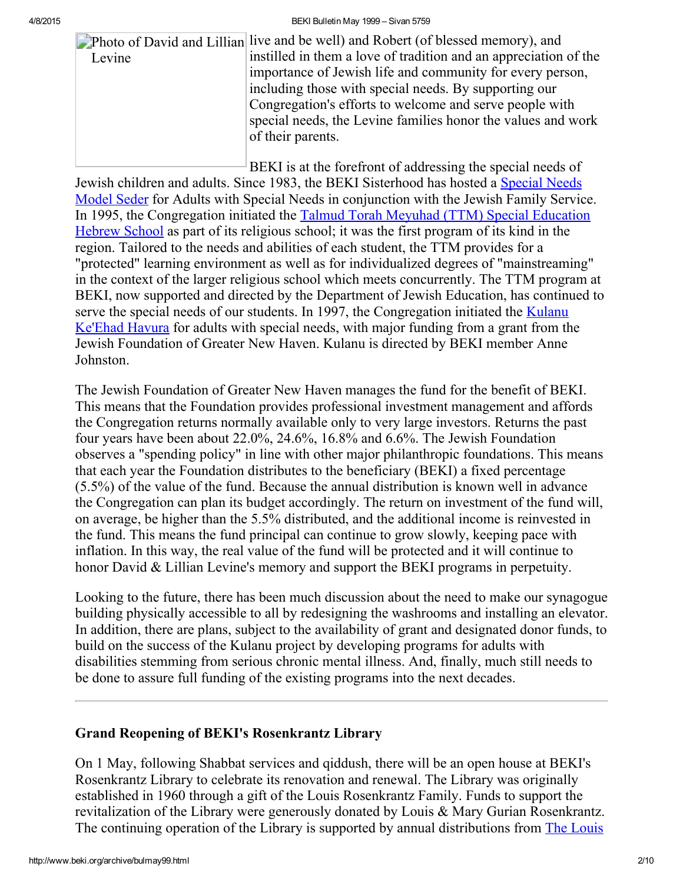4/8/2015 BEKI Bulletin May 1999 – Sivan 5759

|        | Photo of David and Lillian live and be well) and Robert (of blessed memory), and |
|--------|----------------------------------------------------------------------------------|
| Levine | instilled in them a love of tradition and an appreciation of the                 |
|        | importance of Jewish life and community for every person,                        |
|        | including those with special needs. By supporting our                            |
|        | Congregation's efforts to welcome and serve people with                          |
|        | special needs, the Levine families honor the values and work                     |
|        | of their parents.                                                                |
|        |                                                                                  |
|        |                                                                                  |

BEKI is at the forefront of addressing the special needs of Jewish children and adults. Since 1983, the BEKI Sisterhood has hosted a Special Needs Model Seder for Adults with Special Needs in [conjunction](http://www.beki.org/archive/sisterhood.html#specialseder) with the Jewish Family Service. In 1995, the [Congregation](http://www.beki.org/archive/youth.html#ttm) initiated the Talmud Torah Meyuhad (TTM) Special Education Hebrew School as part of its religious school; it was the first program of its kind in the region. Tailored to the needs and abilities of each student, the TTM provides for a "protected" learning environment as well as for individualized degrees of "mainstreaming" in the context of the larger religious school which meets concurrently. The TTM program at BEKI, now supported and directed by the Department of Jewish Education, has continued to serve the special needs of our students. In 1997, the [Congregation](http://www.beki.org/archive/kulanu.html) initiated the **Kulanu** Ke'Ehad Havura for adults with special needs, with major funding from a grant from the Jewish Foundation of Greater New Haven. Kulanu is directed by BEKI member Anne Johnston.

The Jewish Foundation of Greater New Haven manages the fund for the benefit of BEKI. This means that the Foundation provides professional investment management and affords the Congregation returns normally available only to very large investors. Returns the past four years have been about 22.0%, 24.6%, 16.8% and 6.6%. The Jewish Foundation observes a "spending policy" in line with other major philanthropic foundations. This means that each year the Foundation distributes to the beneficiary (BEKI) a fixed percentage (5.5%) of the value of the fund. Because the annual distribution is known well in advance the Congregation can plan its budget accordingly. The return on investment of the fund will, on average, be higher than the 5.5% distributed, and the additional income is reinvested in the fund. This means the fund principal can continue to grow slowly, keeping pace with inflation. In this way, the real value of the fund will be protected and it will continue to honor David & Lillian Levine's memory and support the BEKI programs in perpetuity.

Looking to the future, there has been much discussion about the need to make our synagogue building physically accessible to all by redesigning the washrooms and installing an elevator. In addition, there are plans, subject to the availability of grant and designated donor funds, to build on the success of the Kulanu project by developing programs for adults with disabilities stemming from serious chronic mental illness. And, finally, much still needs to be done to assure full funding of the existing programs into the next decades.

# <span id="page-1-0"></span>Grand Reopening of BEKI's Rosenkrantz Library

On 1 May, following Shabbat services and qiddush, there will be an open house at BEKI's Rosenkrantz Library to celebrate its renovation and renewal. The Library was originally established in 1960 through a gift of the Louis Rosenkrantz Family. Funds to support the revitalization of the Library were generously donated by Louis & Mary Gurian Rosenkrantz. The continuing operation of the Library is supported by annual distributions from The Louis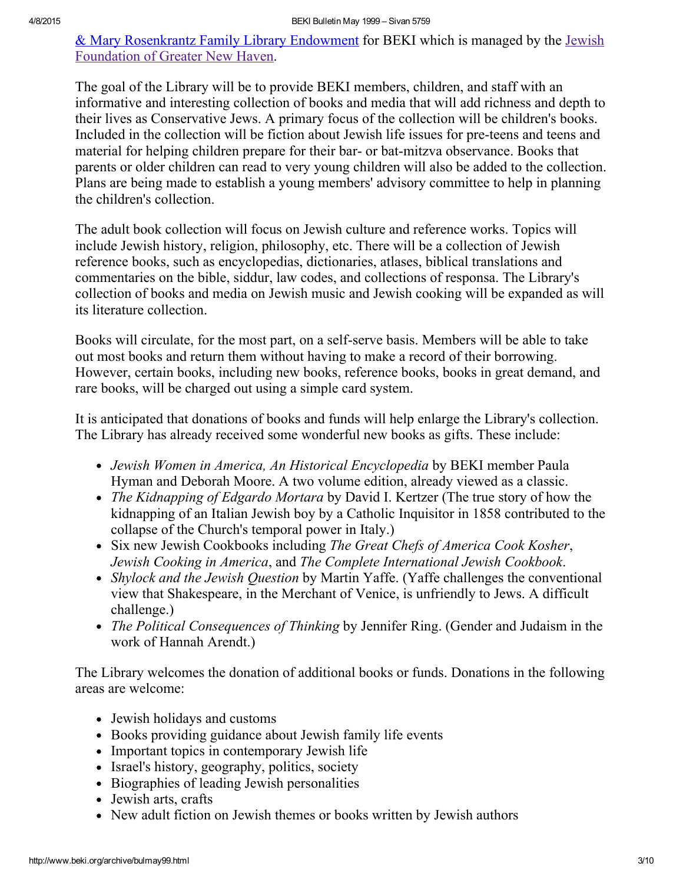& Mary [Rosenkrantz](http://www.beki.org/archive/endowment.html#rosenkrantz) Family Library Endowment for BEKI which is managed by the Jewish Foundation of Greater New Haven.

The goal of the Library will be to provide BEKI members, children, and staff with an informative and interesting collection of books and media that will add richness and depth to their lives as Conservative Jews. A primary focus of the collection will be children's books. Included in the collection will be fiction about Jewish life issues for pre-teens and teens and material for helping children prepare for their bar- or bat-mitzva observance. Books that parents or older children can read to very young children will also be added to the collection. Plans are being made to establish a young members' advisory committee to help in planning the children's collection.

The adult book collection will focus on Jewish culture and reference works. Topics will include Jewish history, religion, philosophy, etc. There will be a collection of Jewish reference books, such as encyclopedias, dictionaries, atlases, biblical translations and commentaries on the bible, siddur, law codes, and collections of responsa. The Library's collection of books and media on Jewish music and Jewish cooking will be expanded as will its literature collection.

Books will circulate, for the most part, on a self-serve basis. Members will be able to take out most books and return them without having to make a record of their borrowing. However, certain books, including new books, reference books, books in great demand, and rare books, will be charged out using a simple card system.

It is anticipated that donations of books and funds will help enlarge the Library's collection. The Library has already received some wonderful new books as gifts. These include:

- Jewish Women in America, An Historical Encyclopedia by BEKI member Paula Hyman and Deborah Moore. A two volume edition, already viewed as a classic.
- The Kidnapping of Edgardo Mortara by David I. Kertzer (The true story of how the kidnapping of an Italian Jewish boy by a Catholic Inquisitor in 1858 contributed to the collapse of the Church's temporal power in Italy.)
- Six new Jewish Cookbooks including The Great Chefs of America Cook Kosher, Jewish Cooking in America, and The Complete International Jewish Cookbook.
- Shylock and the Jewish Question by Martin Yaffe. (Yaffe challenges the conventional view that Shakespeare, in the Merchant of Venice, is unfriendly to Jews. A difficult challenge.)
- The Political Consequences of Thinking by Jennifer Ring. (Gender and Judaism in the work of Hannah Arendt.)

The Library welcomes the donation of additional books or funds. Donations in the following areas are welcome:

- Jewish holidays and customs
- Books providing guidance about Jewish family life events
- Important topics in contemporary Jewish life
- Israel's history, geography, politics, society
- Biographies of leading Jewish personalities
- Jewish arts, crafts
- New adult fiction on Jewish themes or books written by Jewish authors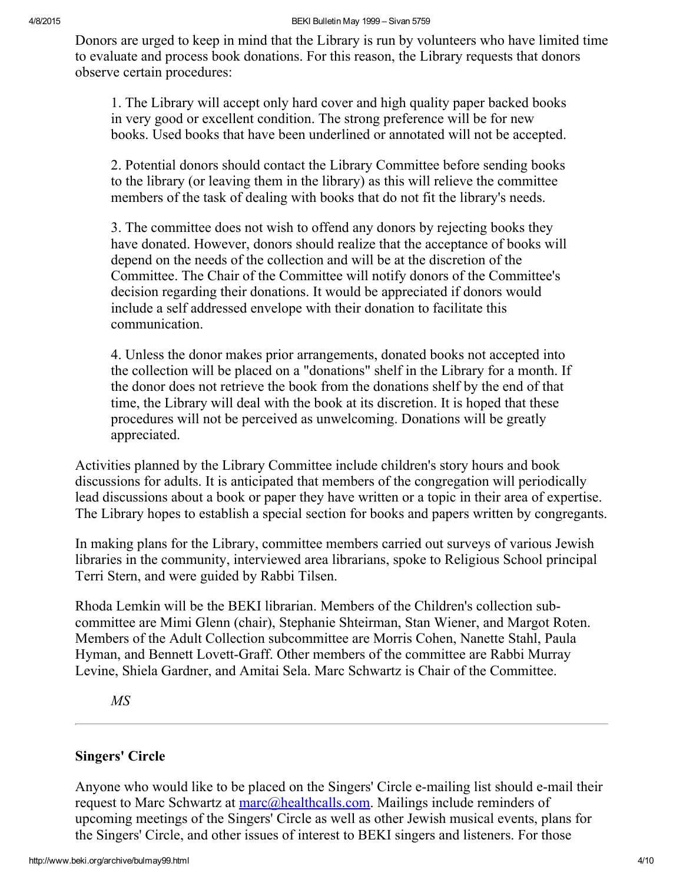Donors are urged to keep in mind that the Library is run by volunteers who have limited time to evaluate and process book donations. For this reason, the Library requests that donors observe certain procedures:

1. The Library will accept only hard cover and high quality paper backed books in very good or excellent condition. The strong preference will be for new books. Used books that have been underlined or annotated will not be accepted.

2. Potential donors should contact the Library Committee before sending books to the library (or leaving them in the library) as this will relieve the committee members of the task of dealing with books that do not fit the library's needs.

3. The committee does not wish to offend any donors by rejecting books they have donated. However, donors should realize that the acceptance of books will depend on the needs of the collection and will be at the discretion of the Committee. The Chair of the Committee will notify donors of the Committee's decision regarding their donations. It would be appreciated if donors would include a self addressed envelope with their donation to facilitate this communication.

4. Unless the donor makes prior arrangements, donated books not accepted into the collection will be placed on a "donations" shelf in the Library for a month. If the donor does not retrieve the book from the donations shelf by the end of that time, the Library will deal with the book at its discretion. It is hoped that these procedures will not be perceived as unwelcoming. Donations will be greatly appreciated.

Activities planned by the Library Committee include children's story hours and book discussions for adults. It is anticipated that members of the congregation will periodically lead discussions about a book or paper they have written or a topic in their area of expertise. The Library hopes to establish a special section for books and papers written by congregants.

In making plans for the Library, committee members carried out surveys of various Jewish libraries in the community, interviewed area librarians, spoke to Religious School principal Terri Stern, and were guided by Rabbi Tilsen.

Rhoda Lemkin will be the BEKI librarian. Members of the Children's collection subcommittee are Mimi Glenn (chair), Stephanie Shteirman, Stan Wiener, and Margot Roten. Members of the Adult Collection subcommittee are Morris Cohen, Nanette Stahl, Paula Hyman, and Bennett Lovett-Graff. Other members of the committee are Rabbi Murray Levine, Shiela Gardner, and Amitai Sela. Marc Schwartz is Chair of the Committee.

MS

# <span id="page-3-0"></span>Singers' Circle

Anyone who would like to be placed on the Singers' Circle e-mailing list should e-mail their request to Marc Schwartz at [marc@healthcalls.com.](mailto:marc@healthcalls.com) Mailings include reminders of upcoming meetings of the Singers' Circle as well as other Jewish musical events, plans for the Singers' Circle, and other issues of interest to BEKI singers and listeners. For those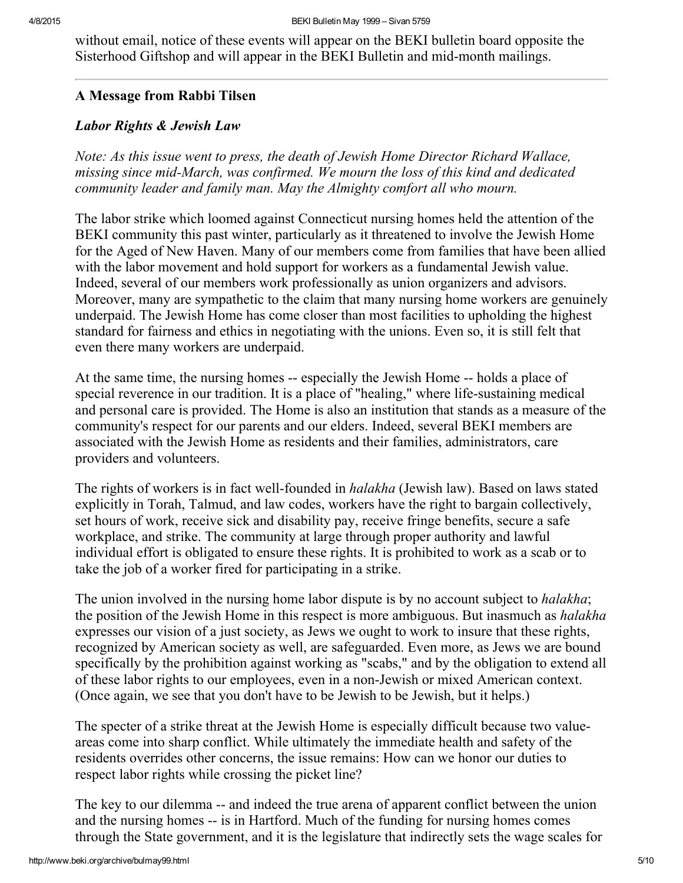without email, notice of these events will appear on the BEKI bulletin board opposite the Sisterhood Giftshop and will appear in the BEKI Bulletin and mid-month mailings.

## <span id="page-4-0"></span>A Message from Rabbi Tilsen

## Labor Rights & Jewish Law

Note: As this issue went to press, the death of Jewish Home Director Richard Wallace, missing since mid-March, was confirmed. We mourn the loss of this kind and dedicated community leader and family man. May the Almighty comfort all who mourn.

The labor strike which loomed against Connecticut nursing homes held the attention of the BEKI community this past winter, particularly as it threatened to involve the Jewish Home for the Aged of New Haven. Many of our members come from families that have been allied with the labor movement and hold support for workers as a fundamental Jewish value. Indeed, several of our members work professionally as union organizers and advisors. Moreover, many are sympathetic to the claim that many nursing home workers are genuinely underpaid. The Jewish Home has come closer than most facilities to upholding the highest standard for fairness and ethics in negotiating with the unions. Even so, it is still felt that even there many workers are underpaid.

At the same time, the nursing homes -- especially the Jewish Home -- holds a place of special reverence in our tradition. It is a place of "healing," where life-sustaining medical and personal care is provided. The Home is also an institution that stands as a measure of the community's respect for our parents and our elders. Indeed, several BEKI members are associated with the Jewish Home as residents and their families, administrators, care providers and volunteers.

The rights of workers is in fact well-founded in *halakha* (Jewish law). Based on laws stated explicitly in Torah, Talmud, and law codes, workers have the right to bargain collectively, set hours of work, receive sick and disability pay, receive fringe benefits, secure a safe workplace, and strike. The community at large through proper authority and lawful individual effort is obligated to ensure these rights. It is prohibited to work as a scab or to take the job of a worker fired for participating in a strike.

The union involved in the nursing home labor dispute is by no account subject to *halakha*; the position of the Jewish Home in this respect is more ambiguous. But inasmuch as *halakha* expresses our vision of a just society, as Jews we ought to work to insure that these rights, recognized by American society as well, are safeguarded. Even more, as Jews we are bound specifically by the prohibition against working as "scabs," and by the obligation to extend all of these labor rights to our employees, even in a nonJewish or mixed American context. (Once again, we see that you don't have to be Jewish to be Jewish, but it helps.)

The specter of a strike threat at the Jewish Home is especially difficult because two valueareas come into sharp conflict. While ultimately the immediate health and safety of the residents overrides other concerns, the issue remains: How can we honor our duties to respect labor rights while crossing the picket line?

The key to our dilemma -- and indeed the true arena of apparent conflict between the union and the nursing homes -- is in Hartford. Much of the funding for nursing homes comes through the State government, and it is the legislature that indirectly sets the wage scales for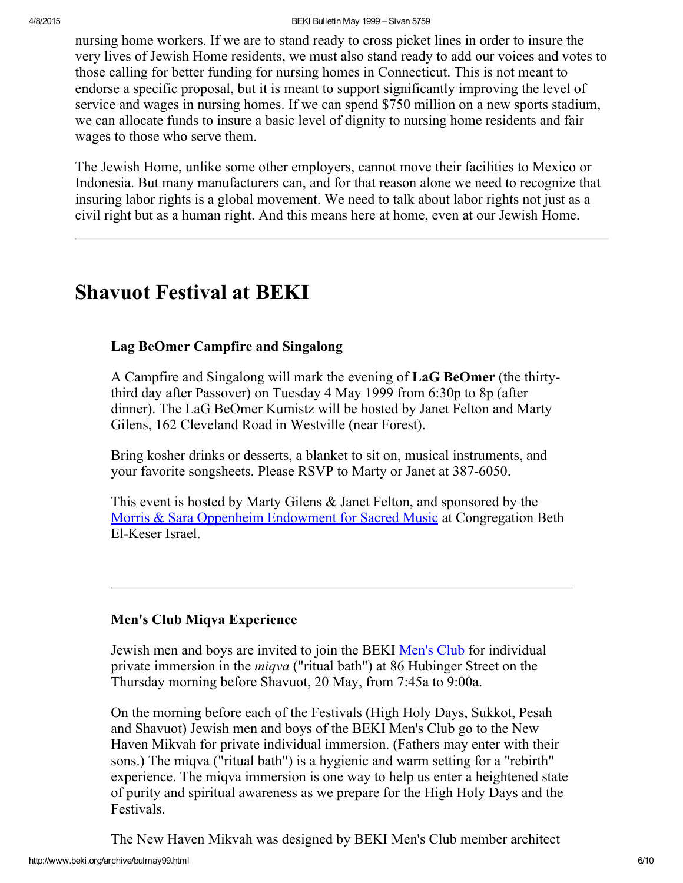nursing home workers. If we are to stand ready to cross picket lines in order to insure the very lives of Jewish Home residents, we must also stand ready to add our voices and votes to those calling for better funding for nursing homes in Connecticut. This is not meant to endorse a specific proposal, but it is meant to support significantly improving the level of service and wages in nursing homes. If we can spend \$750 million on a new sports stadium, we can allocate funds to insure a basic level of dignity to nursing home residents and fair wages to those who serve them.

The Jewish Home, unlike some other employers, cannot move their facilities to Mexico or Indonesia. But many manufacturers can, and for that reason alone we need to recognize that insuring labor rights is a global movement. We need to talk about labor rights not just as a civil right but as a human right. And this means here at home, even at our Jewish Home.

# <span id="page-5-1"></span>Shavuot Festival at BEKI

## <span id="page-5-0"></span>Lag BeOmer Campfire and Singalong

A Campfire and Singalong will mark the evening of LaG BeOmer (the thirtythird day after Passover) on Tuesday 4 May 1999 from 6:30p to 8p (after dinner). The LaG BeOmer Kumistz will be hosted by Janet Felton and Marty Gilens, 162 Cleveland Road in Westville (near Forest).

Bring kosher drinks or desserts, a blanket to sit on, musical instruments, and your favorite songsheets. Please RSVP to Marty or Janet at 387-6050.

This event is hosted by Marty Gilens & Janet Felton, and sponsored by the Morris & Sara Oppenheim [Endowment](http://www.beki.org/archive/endowment.html#oppenheim) for Sacred Music at Congregation Beth El-Keser Israel.

## <span id="page-5-2"></span>Men's Club Miqva Experience

Jewish men and boys are invited to join the BEKI [Men's](http://www.beki.org/archive/mensclub.html) Club for individual private immersion in the miqva ("ritual bath") at 86 Hubinger Street on the Thursday morning before Shavuot, 20 May, from 7:45a to 9:00a.

On the morning before each of the Festivals (High Holy Days, Sukkot, Pesah and Shavuot) Jewish men and boys of the BEKI Men's Club go to the New Haven Mikvah for private individual immersion. (Fathers may enter with their sons.) The miqva ("ritual bath") is a hygienic and warm setting for a "rebirth" experience. The miqva immersion is one way to help us enter a heightened state of purity and spiritual awareness as we prepare for the High Holy Days and the Festivals.

The New Haven Mikvah was designed by BEKI Men's Club member architect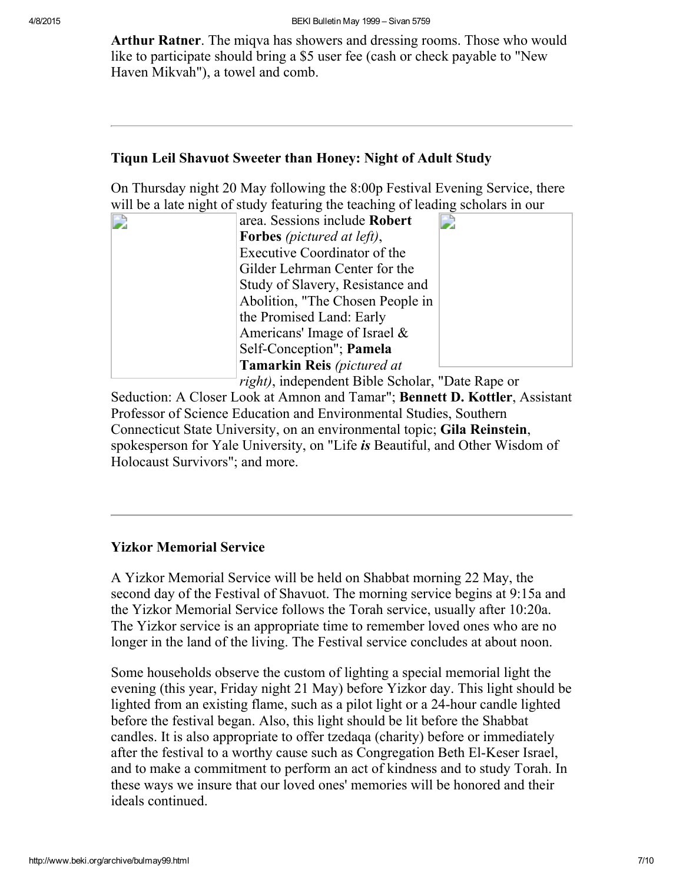Arthur Ratner. The migva has showers and dressing rooms. Those who would like to participate should bring a \$5 user fee (cash or check payable to "New Haven Mikvah"), a towel and comb.

#### <span id="page-6-0"></span>Tiqun Leil Shavuot Sweeter than Honey: Night of Adult Study

On Thursday night 20 May following the 8:00p Festival Evening Service, there will be a late night of study featuring the teaching of leading scholars in our

| area. Sessions include Robert                    |
|--------------------------------------------------|
| <b>Forbes</b> (pictured at left),                |
| Executive Coordinator of the                     |
| Gilder Lehrman Center for the                    |
| Study of Slavery, Resistance and                 |
| Abolition, "The Chosen People in                 |
| the Promised Land: Early                         |
| Americans' Image of Israel $\&$                  |
| Self-Conception"; Pamela                         |
| <b>Tamarkin Reis</b> (pictured at                |
| right), independent Bible Scholar, "Date Rape or |

Seduction: A Closer Look at Amnon and Tamar"; Bennett D. Kottler, Assistant Professor of Science Education and Environmental Studies, Southern Connecticut State University, on an environmental topic; Gila Reinstein, spokesperson for Yale University, on "Life is Beautiful, and Other Wisdom of Holocaust Survivors"; and more.

## <span id="page-6-1"></span>Yizkor Memorial Service

A Yizkor Memorial Service will be held on Shabbat morning 22 May, the second day of the Festival of Shavuot. The morning service begins at 9:15a and the Yizkor Memorial Service follows the Torah service, usually after 10:20a. The Yizkor service is an appropriate time to remember loved ones who are no longer in the land of the living. The Festival service concludes at about noon.

Some households observe the custom of lighting a special memorial light the evening (this year, Friday night 21 May) before Yizkor day. This light should be lighted from an existing flame, such as a pilot light or a 24-hour candle lighted before the festival began. Also, this light should be lit before the Shabbat candles. It is also appropriate to offer tzedaqa (charity) before or immediately after the festival to a worthy cause such as Congregation Beth El-Keser Israel, and to make a commitment to perform an act of kindness and to study Torah. In these ways we insure that our loved ones' memories will be honored and their ideals continued.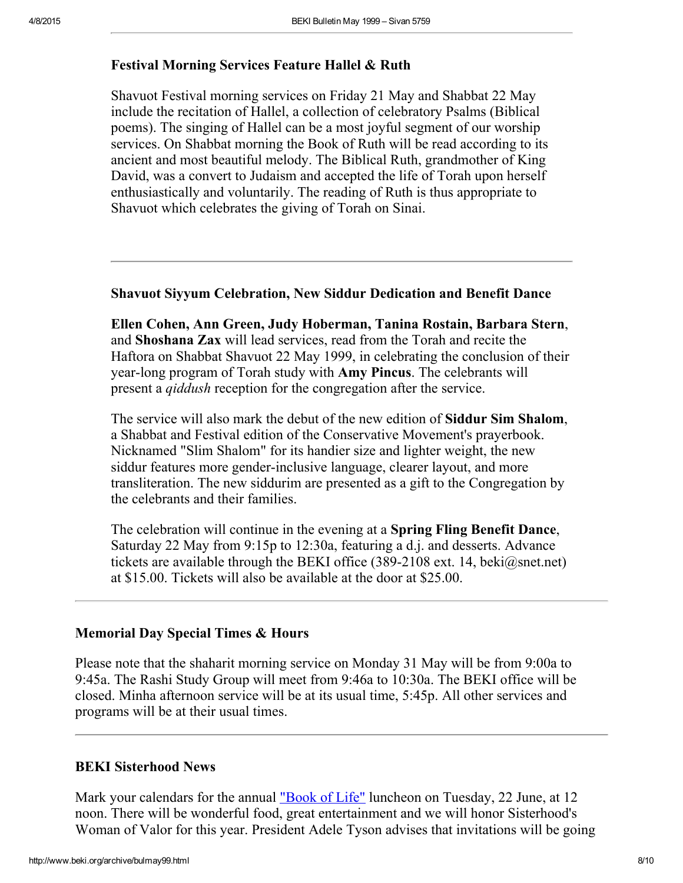#### <span id="page-7-2"></span>Festival Morning Services Feature Hallel & Ruth

Shavuot Festival morning services on Friday 21 May and Shabbat 22 May include the recitation of Hallel, a collection of celebratory Psalms (Biblical poems). The singing of Hallel can be a most joyful segment of our worship services. On Shabbat morning the Book of Ruth will be read according to its ancient and most beautiful melody. The Biblical Ruth, grandmother of King David, was a convert to Judaism and accepted the life of Torah upon herself enthusiastically and voluntarily. The reading of Ruth is thus appropriate to Shavuot which celebrates the giving of Torah on Sinai.

#### <span id="page-7-1"></span>Shavuot Siyyum Celebration, New Siddur Dedication and Benefit Dance

Ellen Cohen, Ann Green, Judy Hoberman, Tanina Rostain, Barbara Stern, and Shoshana Zax will lead services, read from the Torah and recite the Haftora on Shabbat Shavuot 22 May 1999, in celebrating the conclusion of their year-long program of Torah study with **Amy Pincus**. The celebrants will present a qiddush reception for the congregation after the service.

The service will also mark the debut of the new edition of Siddur Sim Shalom, a Shabbat and Festival edition of the Conservative Movement's prayerbook. Nicknamed "Slim Shalom" for its handier size and lighter weight, the new siddur features more gender-inclusive language, clearer layout, and more transliteration. The new siddurim are presented as a gift to the Congregation by the celebrants and their families.

The celebration will continue in the evening at a Spring Fling Benefit Dance, Saturday 22 May from 9:15p to 12:30a, featuring a d.j. and desserts. Advance tickets are available through the BEKI office (389-2108 ext. 14, beki@snet.net) at \$15.00. Tickets will also be available at the door at \$25.00.

#### <span id="page-7-3"></span>Memorial Day Special Times & Hours

Please note that the shaharit morning service on Monday 31 May will be from 9:00a to 9:45a. The Rashi Study Group will meet from 9:46a to 10:30a. The BEKI office will be closed. Minha afternoon service will be at its usual time, 5:45p. All other services and programs will be at their usual times.

#### <span id="page-7-0"></span>BEKI Sisterhood News

Mark your calendars for the annual ["Book](http://www.beki.org/archive/sisterhood.html#bookoflife) of Life" luncheon on Tuesday, 22 June, at 12 noon. There will be wonderful food, great entertainment and we will honor Sisterhood's Woman of Valor for this year. President Adele Tyson advises that invitations will be going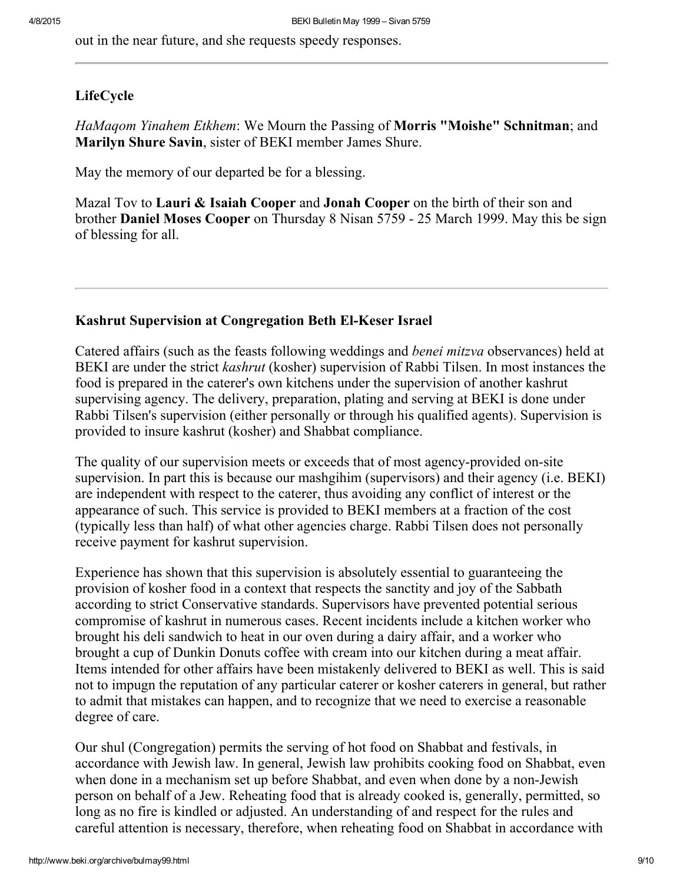out in the near future, and she requests speedy responses.

#### <span id="page-8-1"></span>LifeCycle

HaMagom Yinahem Etkhem: We Mourn the Passing of Morris "Moishe" Schnitman; and Marilyn Shure Savin, sister of BEKI member James Shure.

May the memory of our departed be for a blessing.

Mazal Tov to Lauri & Isaiah Cooper and Jonah Cooper on the birth of their son and brother Daniel Moses Cooper on Thursday 8 Nisan 5759 25 March 1999. May this be sign of blessing for all.

#### <span id="page-8-0"></span>Kashrut Supervision at Congregation Beth El-Keser Israel

Catered affairs (such as the feasts following weddings and benei mitzva observances) held at BEKI are under the strict *kashrut* (kosher) supervision of Rabbi Tilsen. In most instances the food is prepared in the caterer's own kitchens under the supervision of another kashrut supervising agency. The delivery, preparation, plating and serving at BEKI is done under Rabbi Tilsen's supervision (either personally or through his qualified agents). Supervision is provided to insure kashrut (kosher) and Shabbat compliance.

The quality of our supervision meets or exceeds that of most agency-provided on-site supervision. In part this is because our mashgihim (supervisors) and their agency (i.e. BEKI) are independent with respect to the caterer, thus avoiding any conflict of interest or the appearance of such. This service is provided to BEKI members at a fraction of the cost (typically less than half) of what other agencies charge. Rabbi Tilsen does not personally receive payment for kashrut supervision.

Experience has shown that this supervision is absolutely essential to guaranteeing the provision of kosher food in a context that respects the sanctity and joy of the Sabbath according to strict Conservative standards. Supervisors have prevented potential serious compromise of kashrut in numerous cases. Recent incidents include a kitchen worker who brought his deli sandwich to heat in our oven during a dairy affair, and a worker who brought a cup of Dunkin Donuts coffee with cream into our kitchen during a meat affair. Items intended for other affairs have been mistakenly delivered to BEKI as well. This is said not to impugn the reputation of any particular caterer or kosher caterers in general, but rather to admit that mistakes can happen, and to recognize that we need to exercise a reasonable degree of care.

Our shul (Congregation) permits the serving of hot food on Shabbat and festivals, in accordance with Jewish law. In general, Jewish law prohibits cooking food on Shabbat, even when done in a mechanism set up before Shabbat, and even when done by a non-Jewish person on behalf of a Jew. Reheating food that is already cooked is, generally, permitted, so long as no fire is kindled or adjusted. An understanding of and respect for the rules and careful attention is necessary, therefore, when reheating food on Shabbat in accordance with